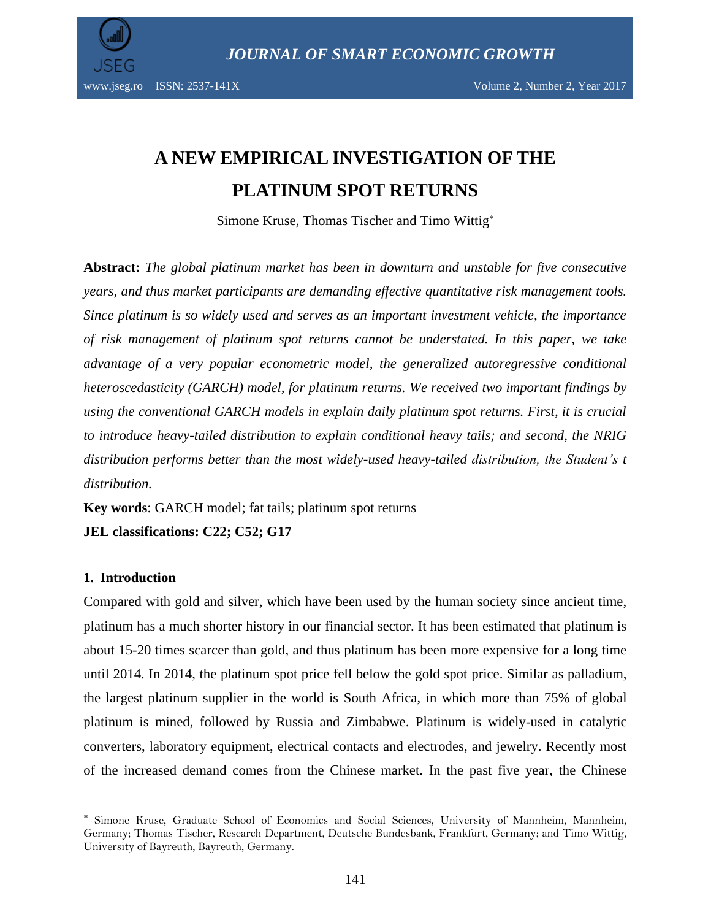

# **A NEW EMPIRICAL INVESTIGATION OF THE PLATINUM SPOT RETURNS**

Simone Kruse, Thomas Tischer and Timo Wittig

**Abstract:** *The global platinum market has been in downturn and unstable for five consecutive years, and thus market participants are demanding effective quantitative risk management tools. Since platinum is so widely used and serves as an important investment vehicle, the importance of risk management of platinum spot returns cannot be understated. In this paper, we take advantage of a very popular econometric model, the generalized autoregressive conditional heteroscedasticity (GARCH) model, for platinum returns. We received two important findings by using the conventional GARCH models in explain daily platinum spot returns. First, it is crucial to introduce heavy-tailed distribution to explain conditional heavy tails; and second, the NRIG distribution performs better than the most widely-used heavy-tailed distribution, the Student's t distribution.* 

**Key words**: GARCH model; fat tails; platinum spot returns

**JEL classifications: C22; C52; G17**

### **1. Introduction**

 $\overline{\phantom{a}}$ 

Compared with gold and silver, which have been used by the human society since ancient time, platinum has a much shorter history in our financial sector. It has been estimated that platinum is about 15-20 times scarcer than gold, and thus platinum has been more expensive for a long time until 2014. In 2014, the platinum spot price fell below the gold spot price. Similar as palladium, the largest platinum supplier in the world is South Africa, in which more than 75% of global platinum is mined, followed by Russia and Zimbabwe. Platinum is widely-used in catalytic converters, laboratory equipment, electrical contacts and electrodes, and jewelry. Recently most of the increased demand comes from the Chinese market. In the past five year, the Chinese

Simone Kruse, Graduate School of Economics and Social Sciences, University of Mannheim, Mannheim, Germany; Thomas Tischer, Research Department, Deutsche Bundesbank, Frankfurt, Germany; and Timo Wittig, University of Bayreuth, Bayreuth, Germany.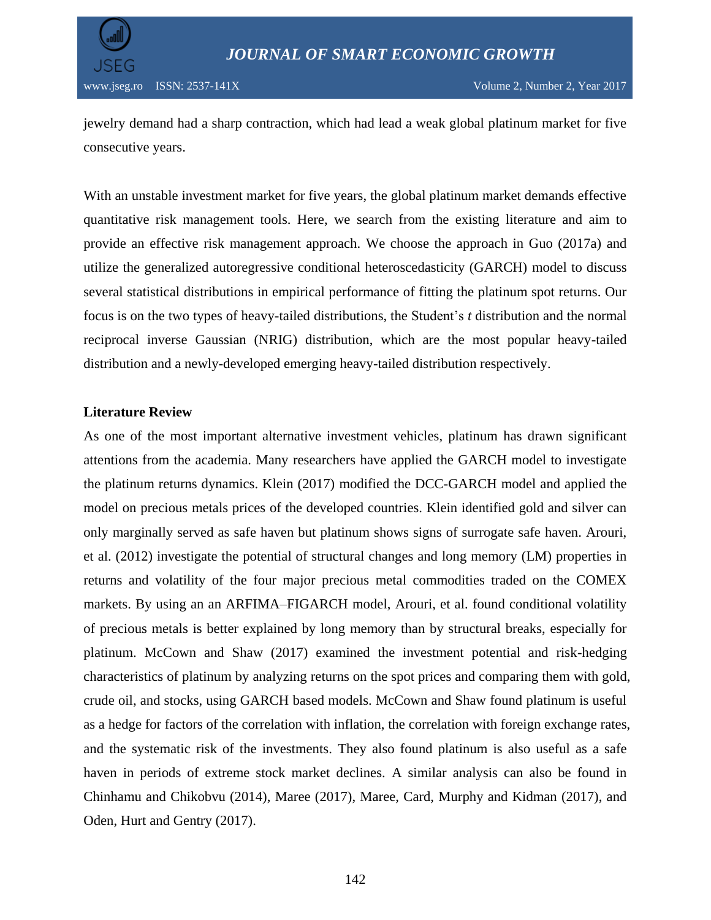

jewelry demand had a sharp contraction, which had lead a weak global platinum market for five consecutive years.

With an unstable investment market for five years, the global platinum market demands effective quantitative risk management tools. Here, we search from the existing literature and aim to provide an effective risk management approach. We choose the approach in Guo (2017a) and utilize the generalized autoregressive conditional heteroscedasticity (GARCH) model to discuss several statistical distributions in empirical performance of fitting the platinum spot returns. Our focus is on the two types of heavy-tailed distributions, the Student's *t* distribution and the normal reciprocal inverse Gaussian (NRIG) distribution, which are the most popular heavy-tailed distribution and a newly-developed emerging heavy-tailed distribution respectively.

#### **Literature Review**

As one of the most important alternative investment vehicles, platinum has drawn significant attentions from the academia. Many researchers have applied the GARCH model to investigate the platinum returns dynamics. Klein (2017) modified the DCC-GARCH model and applied the model on precious metals prices of the developed countries. Klein identified gold and silver can only marginally served as safe haven but platinum shows signs of surrogate safe haven. Arouri, et al. (2012) investigate the potential of structural changes and long memory (LM) properties in returns and volatility of the four major precious metal commodities traded on the COMEX markets. By using an an ARFIMA–FIGARCH model, Arouri, et al. found conditional volatility of precious metals is better explained by long memory than by structural breaks, especially for platinum. McCown and Shaw (2017) examined the investment potential and risk-hedging characteristics of platinum by analyzing returns on the spot prices and comparing them with gold, crude oil, and stocks, using GARCH based models. McCown and Shaw found platinum is useful as a hedge for factors of the correlation with inflation, the correlation with foreign exchange rates, and the systematic risk of the investments. They also found platinum is also useful as a safe haven in periods of extreme stock market declines. A similar analysis can also be found in Chinhamu and Chikobvu (2014), Maree (2017), Maree, Card, Murphy and Kidman (2017), and Oden, Hurt and Gentry (2017).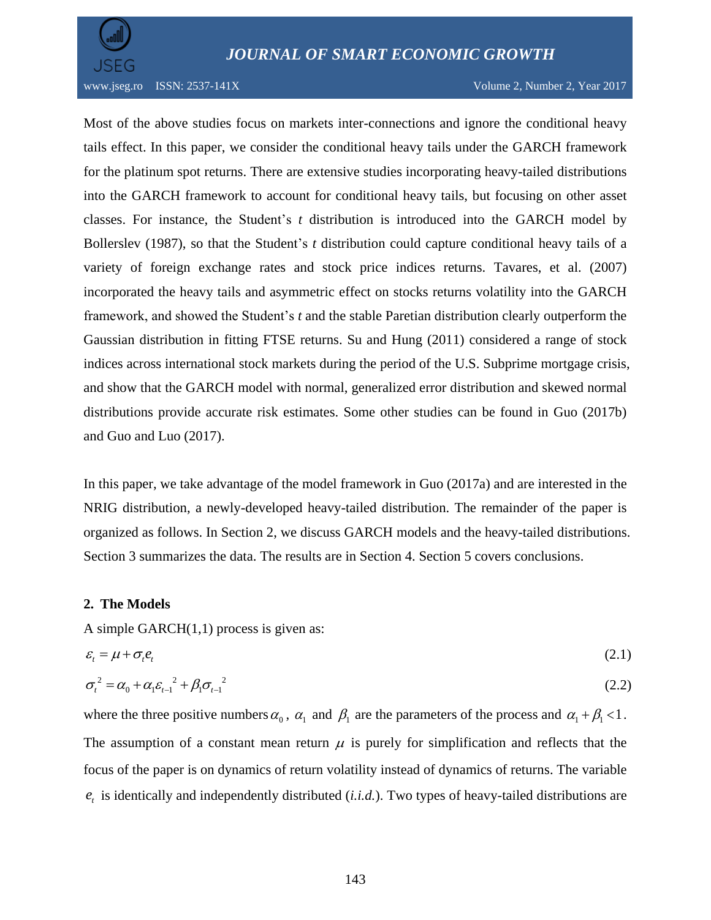

Most of the above studies focus on markets inter-connections and ignore the conditional heavy tails effect. In this paper, we consider the conditional heavy tails under the GARCH framework for the platinum spot returns. There are extensive studies incorporating heavy-tailed distributions into the GARCH framework to account for conditional heavy tails, but focusing on other asset classes. For instance, the Student's *t* distribution is introduced into the GARCH model by Bollerslev (1987), so that the Student's *t* distribution could capture conditional heavy tails of a variety of foreign exchange rates and stock price indices returns. Tavares, et al. (2007) incorporated the heavy tails and asymmetric effect on stocks returns volatility into the GARCH framework, and showed the Student's *t* and the stable Paretian distribution clearly outperform the Gaussian distribution in fitting FTSE returns. Su and Hung (2011) considered a range of stock indices across international stock markets during the period of the U.S. Subprime mortgage crisis, and show that the GARCH model with normal, generalized error distribution and skewed normal distributions provide accurate risk estimates. Some other studies can be found in Guo (2017b) and Guo and Luo (2017).

In this paper, we take advantage of the model framework in Guo (2017a) and are interested in the NRIG distribution, a newly-developed heavy-tailed distribution. The remainder of the paper is organized as follows. In Section 2, we discuss GARCH models and the heavy-tailed distributions. Section 3 summarizes the data. The results are in Section 4. Section 5 covers conclusions.

### **2. The Models**

A simple GARCH $(1,1)$  process is given as:

$$
\varepsilon_t = \mu + \sigma_t e_t \tag{2.1}
$$

$$
\sigma_t^2 = \alpha_0 + \alpha_1 \varepsilon_{t-1}^2 + \beta_1 \sigma_{t-1}^2 \tag{2.2}
$$

where the three positive numbers  $\alpha_0$ ,  $\alpha_1$  and  $\beta_1$  are the parameters of the process and  $\alpha_1 + \beta_1 < 1$ . The assumption of a constant mean return  $\mu$  is purely for simplification and reflects that the focus of the paper is on dynamics of return volatility instead of dynamics of returns. The variable  $e_t$  is identically and independently distributed (*i.i.d.*). Two types of heavy-tailed distributions are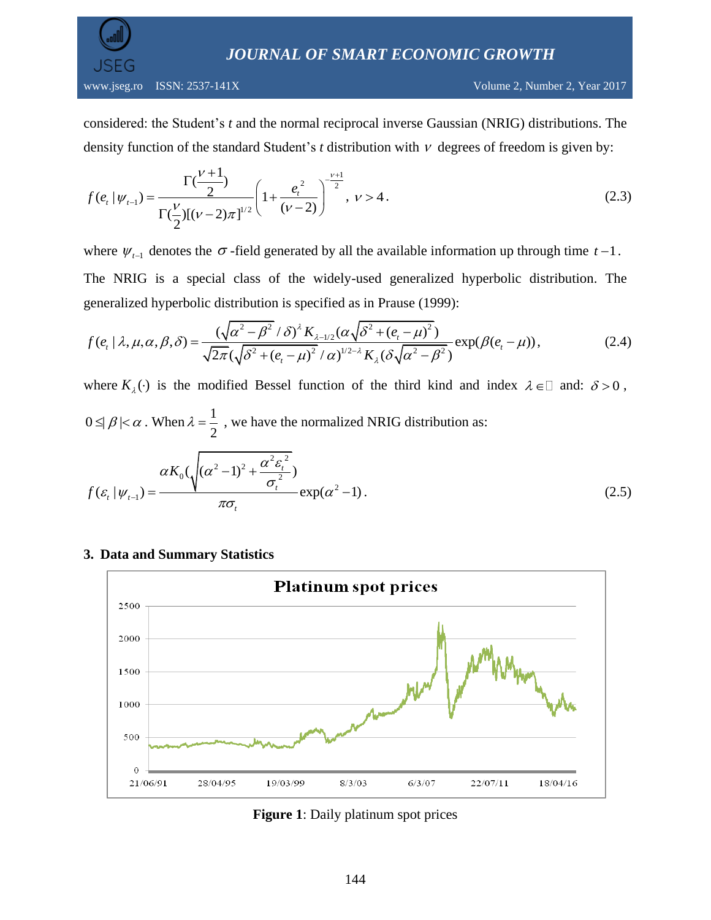*JOURNAL OF SMART ECONOMIC GROWTH*

considered: the Student's *t* and the normal reciprocal inverse Gaussian (NRIG) distributions. The density function of the standard Student's  $t$  distribution with  $V$  degrees of freedom is given by:

$$
f(e_i|\psi_{t-1}) = \frac{\Gamma(\frac{\nu+1}{2})}{\Gamma(\frac{\nu}{2})[(\nu-2)\pi]^{1/2}} \left(1 + \frac{e_i^2}{(\nu-2)}\right)^{-\frac{\nu+1}{2}}, \quad \nu > 4.
$$
 (2.3)

where  $\psi_{t-1}$  denotes the  $\sigma$ -field generated by all the available information up through time  $t-1$ . The NRIG is a special class of the widely-used generalized hyperbolic distribution. The<br>generalized hyperbolic distribution is specified as in Prause (1999):<br> $f(e_t | \lambda, \mu, \alpha, \beta, \delta) = \frac{(\sqrt{\alpha^2 - \beta^2}/\delta)^{\lambda} K_{\lambda - 1/2}(\alpha \sqrt{\delta^2 + (e$ al class of the widely-used generaliz<br>distribution is specified as in Prause (199<br> $\left(\sqrt{\alpha^2 - \beta^2}/\delta\right)^{\lambda} K_{\lambda-1/2}(\alpha \sqrt{\delta^2 + (e_t - \mu)^2})$ widely-used government<br> *K*<sub> $\lambda$ -1/2</sub> ( $\alpha \sqrt{\delta^2 + (e^2)}$ ss of the widely-used generalized hypoution is specified as in Prause (1999):<br> $\frac{1}{\sqrt{1-\beta^2}} \frac{1}{(\delta)^4 K_{\lambda-1/2} (\alpha \sqrt{\delta^2 + (e_t - \mu)^2})} \exp(-\frac{1}{2\sqrt{\delta^2 + (e_t - \mu)^2}})$ 

generalized hyperbolic distribution is specified as in Prause (1999):  
\n
$$
f(e_t | \lambda, \mu, \alpha, \beta, \delta) = \frac{(\sqrt{\alpha^2 - \beta^2}/\delta)^{\lambda} K_{\lambda - 1/2}(\alpha \sqrt{\delta^2 + (e_t - \mu)^2})}{\sqrt{2\pi}(\sqrt{\delta^2 + (e_t - \mu)^2}/\alpha)^{1/2 - \lambda} K_{\lambda}(\delta \sqrt{\alpha^2 - \beta^2})} \exp(\beta(e_t - \mu)),
$$
\n(2.4)

where  $K_{\lambda}(\cdot)$  is the modified Bessel function of the third kind and index  $\lambda \in \mathbb{Z}$  and:  $\delta > 0$ ,

 $0 \leq \beta \leq \alpha$ . When  $\lambda = \frac{1}{2}$ 2  $\lambda = \frac{1}{2}$ , we have the normalized NRIG distribution as:  $\int_0^1 (\alpha^2 - 1)^2 + \frac{\alpha^2 \varepsilon_t^2}{\sigma^2}$ 2 1  $(\sqrt{(\alpha^2-1)^2+\frac{\alpha^2\varepsilon_t^2}{\sigma^2}})$  $(\varepsilon_t | \psi_{t-1}) = \frac{\alpha K_0(\sqrt{(\alpha^2-1)^2 + \frac{\alpha^2 \varepsilon_t^2}{\sigma_t^2}})}{\pi \sigma} \exp(\alpha^2-1)$  $\sigma_t$ | $\psi_{t-1}$ ) =  $\frac{\sigma_t}{\pi \sigma_t}$ *K f* 2<br>  $\alpha K_0(\sqrt{(\alpha^2-1)^2+\frac{\alpha^2\varepsilon_t^2}{\sigma^2}})$  $\varepsilon_t |\psi_{t-1}\rangle = \frac{\alpha K_0(\sqrt{(\alpha^2-1)^2+\frac{\alpha^2 \varepsilon_t^2}{\sigma_t^2}})}{\pi \sigma_t} \exp(\alpha^2-1).$  $\frac{1}{(1-\epsilon)^2+\frac{\alpha^2 \varepsilon_t^2}{\sigma^2}}$  $= \frac{\alpha K_0(\sqrt{(\alpha^2-1)^2 + \frac{\alpha^2 \mathcal{E}_t^2}{\sigma_t^2}})}{\pi \sigma} \exp(\alpha^2-1).$  (2.5)

### **3. Data and Summary Statistics**



**Figure 1**: Daily platinum spot prices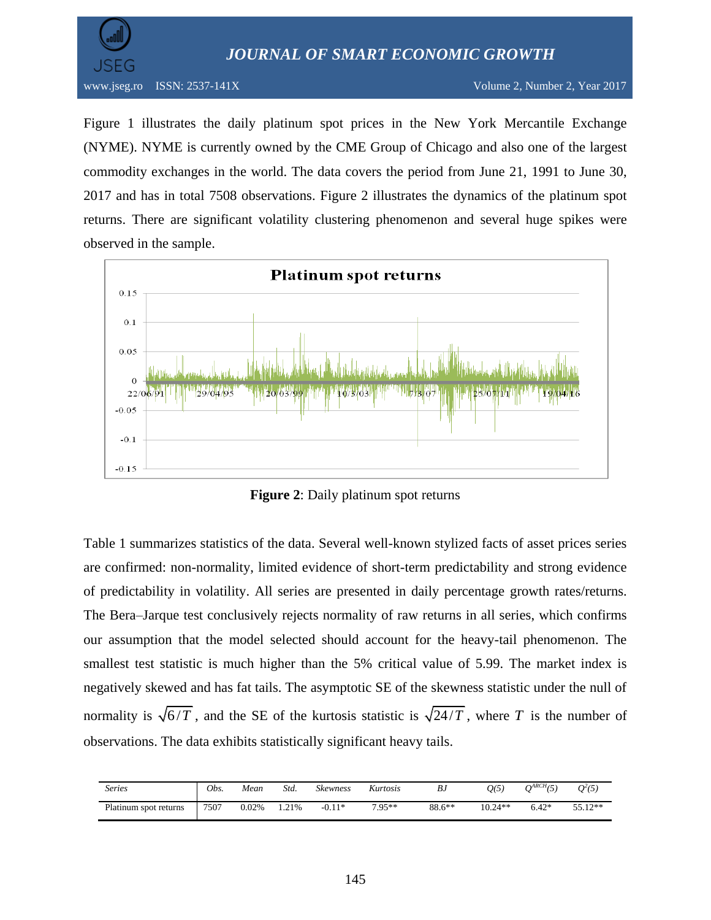*JOURNAL OF SMART ECONOMIC GROWTH*



Figure 1 illustrates the daily platinum spot prices in the New York Mercantile Exchange (NYME). NYME is currently owned by the CME Group of Chicago and also one of the largest commodity exchanges in the world. The data covers the period from June 21, 1991 to June 30, 2017 and has in total 7508 observations. Figure 2 illustrates the dynamics of the platinum spot returns. There are significant volatility clustering phenomenon and several huge spikes were observed in the sample.



**Figure 2**: Daily platinum spot returns

Table 1 summarizes statistics of the data. Several well-known stylized facts of asset prices series are confirmed: non-normality, limited evidence of short-term predictability and strong evidence of predictability in volatility. All series are presented in daily percentage growth rates/returns. The Bera–Jarque test conclusively rejects normality of raw returns in all series, which confirms our assumption that the model selected should account for the heavy-tail phenomenon. The smallest test statistic is much higher than the 5% critical value of 5.99. The market index is negatively skewed and has fat tails. The asymptotic SE of the skewness statistic under the null of normality is  $\sqrt{6/T}$ , and the SE of the kurtosis statistic is  $\sqrt{24/T}$ , where T is the number of observations. The data exhibits statistically significant heavy tails.

| <i>Series</i>         | Obs. | Mean  | Std. | <b>Skewness</b> | Kurtosis | ВJ       | Q(5)      | $O^{ARCH}(5)$ | $Q^2(5)$ |
|-----------------------|------|-------|------|-----------------|----------|----------|-----------|---------------|----------|
| Platinum spot returns | 7507 | 0.02% | .21% | $-0.11*$        | $705**$  | $88.6**$ | $10.24**$ | $6.42*$       | 55.12**  |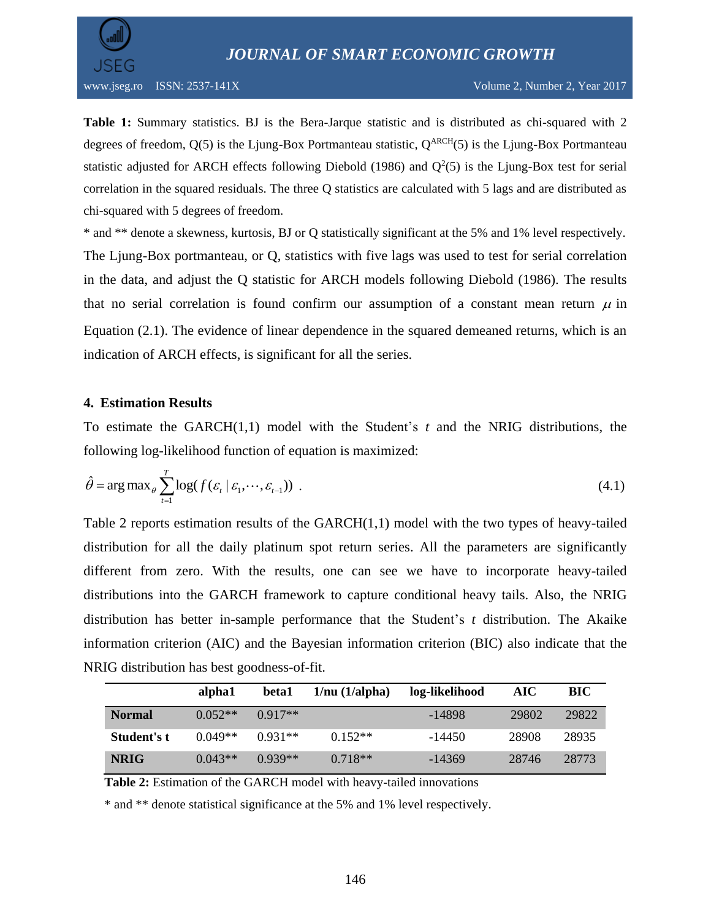

**Table 1:** Summary statistics. BJ is the Bera-Jarque statistic and is distributed as chi-squared with 2 degrees of freedom,  $Q(5)$  is the Ljung-Box Portmanteau statistic,  $Q^{ARCH}(5)$  is the Ljung-Box Portmanteau statistic adjusted for ARCH effects following Diebold (1986) and  $Q^2(5)$  is the Ljung-Box test for serial correlation in the squared residuals. The three Q statistics are calculated with 5 lags and are distributed as chi-squared with 5 degrees of freedom.

\* and \*\* denote a skewness, kurtosis, BJ or Q statistically significant at the 5% and 1% level respectively. The Ljung-Box portmanteau, or Q, statistics with five lags was used to test for serial correlation in the data, and adjust the Q statistic for ARCH models following Diebold (1986). The results that no serial correlation is found confirm our assumption of a constant mean return  $\mu$  in Equation (2.1). The evidence of linear dependence in the squared demeaned returns, which is an indication of ARCH effects, is significant for all the series.

#### **4. Estimation Results**

To estimate the GARCH(1,1) model with the Student's *t* and the NRIG distributions, the following log-likelihood function of equation is maximized:

$$
\hat{\theta} = \arg \max_{\theta} \sum_{t=1}^{T} \log(f(\varepsilon_t | \varepsilon_1, \dots, \varepsilon_{t-1})) \tag{4.1}
$$

Table 2 reports estimation results of the GARCH(1,1) model with the two types of heavy-tailed distribution for all the daily platinum spot return series. All the parameters are significantly different from zero. With the results, one can see we have to incorporate heavy-tailed distributions into the GARCH framework to capture conditional heavy tails. Also, the NRIG distribution has better in-sample performance that the Student's *t* distribution. The Akaike information criterion (AIC) and the Bayesian information criterion (BIC) also indicate that the NRIG distribution has best goodness-of-fit.

|               | alpha1    | beta1     | $1/nu$ ( $1/alpha$ ) | log-likelihood | AIC.  | BIC   |
|---------------|-----------|-----------|----------------------|----------------|-------|-------|
| <b>Normal</b> | $0.052**$ | $0.917**$ |                      | -14898         | 29802 | 29822 |
| Student's t   | $0.049**$ | $0.931**$ | $0.152**$            | -14450         | 28908 | 28935 |
| <b>NRIG</b>   | $0.043**$ | $0.939**$ | $0.718**$            | $-14369$       | 28746 | 28773 |

**Table 2:** Estimation of the GARCH model with heavy-tailed innovations

\* and \*\* denote statistical significance at the 5% and 1% level respectively.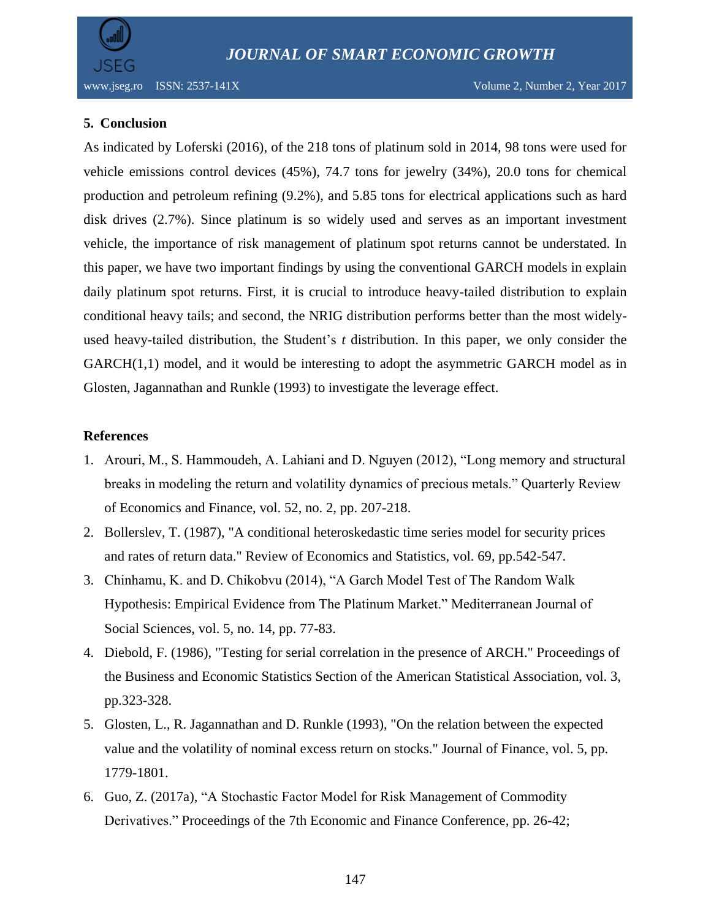# **5. Conclusion**

As indicated by Loferski (2016), of the 218 tons of platinum sold in 2014, 98 tons were used for vehicle emissions control devices (45%), 74.7 tons for jewelry (34%), 20.0 tons for chemical production and petroleum refining (9.2%), and 5.85 tons for electrical applications such as hard disk drives (2.7%). Since platinum is so widely used and serves as an important investment vehicle, the importance of risk management of platinum spot returns cannot be understated. In this paper, we have two important findings by using the conventional GARCH models in explain daily platinum spot returns. First, it is crucial to introduce heavy-tailed distribution to explain conditional heavy tails; and second, the NRIG distribution performs better than the most widelyused heavy-tailed distribution, the Student's *t* distribution. In this paper, we only consider the GARCH(1,1) model, and it would be interesting to adopt the asymmetric GARCH model as in Glosten, Jagannathan and Runkle (1993) to investigate the leverage effect.

## **References**

- 1. Arouri, M., S. Hammoudeh, A. Lahiani and D. Nguyen (2012), "Long memory and structural breaks in modeling the return and volatility dynamics of precious metals." Quarterly Review of Economics and Finance, vol. 52, no. 2, pp. 207-218.
- 2. Bollerslev, T. (1987), "A conditional heteroskedastic time series model for security prices and rates of return data." Review of Economics and Statistics, vol. 69, pp.542-547.
- 3. Chinhamu, K. and D. Chikobvu (2014), "A Garch Model Test of The Random Walk Hypothesis: Empirical Evidence from The Platinum Market." Mediterranean Journal of Social Sciences, vol. 5, no. 14, pp. 77-83.
- 4. Diebold, F. (1986), "Testing for serial correlation in the presence of ARCH." Proceedings of the Business and Economic Statistics Section of the American Statistical Association, vol. 3, pp.323-328.
- 5. Glosten, L., R. Jagannathan and D. Runkle (1993), "On the relation between the expected value and the volatility of nominal excess return on stocks." Journal of Finance, vol. 5, pp. 1779-1801.
- 6. Guo, Z. (2017a), "A Stochastic Factor Model for Risk Management of Commodity Derivatives." Proceedings of the 7th Economic and Finance Conference, pp. 26-42;